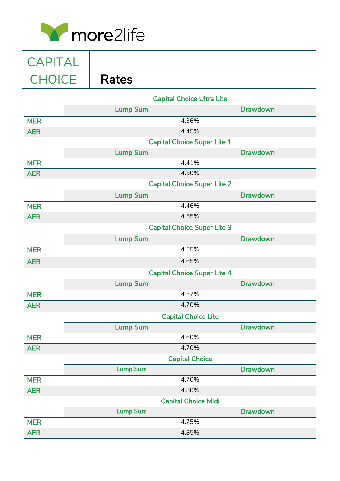

CAPITAL CHOICE | Rates

|            | <b>Capital Choice Ultra Lite</b>   |                 |  |
|------------|------------------------------------|-----------------|--|
|            | <b>Lump Sum</b>                    | <b>Drawdown</b> |  |
| <b>MER</b> | 4.36%                              |                 |  |
| <b>AER</b> | 4.45%                              |                 |  |
|            | <b>Capital Choice Super Lite 1</b> |                 |  |
|            | <b>Lump Sum</b>                    | <b>Drawdown</b> |  |
| <b>MER</b> | 4.41%                              |                 |  |
| <b>AER</b> | 4.50%                              |                 |  |
|            | <b>Capital Choice Super Lite 2</b> |                 |  |
|            | <b>Lump Sum</b>                    | <b>Drawdown</b> |  |
| <b>MER</b> | 4.46%                              |                 |  |
| <b>AER</b> | 4.55%                              |                 |  |
|            | <b>Capital Choice Super Lite 3</b> |                 |  |
|            | <b>Lump Sum</b>                    | <b>Drawdown</b> |  |
| <b>MER</b> | 4.55%                              |                 |  |
| <b>AER</b> | 4.65%                              |                 |  |
|            | <b>Capital Choice Super Lite 4</b> |                 |  |
|            | <b>Lump Sum</b>                    | <b>Drawdown</b> |  |
| <b>MER</b> | 4.57%                              |                 |  |
| <b>AER</b> | 4.70%                              |                 |  |
|            | <b>Capital Choice Lite</b>         |                 |  |
|            | <b>Lump Sum</b>                    | <b>Drawdown</b> |  |
| <b>MER</b> | 4.60%                              |                 |  |
| <b>AER</b> | 4.70%                              |                 |  |
|            | <b>Capital Choice</b>              |                 |  |
|            | <b>Lump Sum</b>                    | <b>Drawdown</b> |  |
| <b>MER</b> | 4.70%                              |                 |  |
| <b>AER</b> | 4.80%                              |                 |  |
|            | <b>Capital Choice Midi</b>         |                 |  |
|            | <b>Lump Sum</b>                    | <b>Drawdown</b> |  |
| <b>MER</b> | 4.75%                              |                 |  |
| <b>AER</b> | 4.85%                              |                 |  |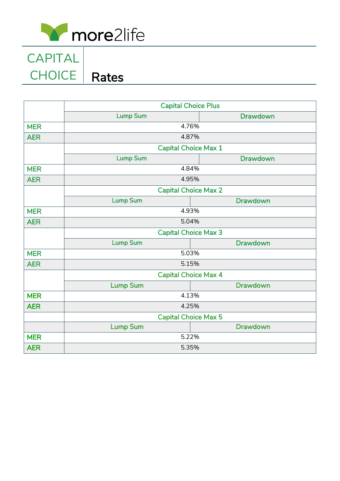

CHOICE | Rates CAPITAL

|            | <b>Capital Choice Plus</b>           |                 |  |
|------------|--------------------------------------|-----------------|--|
|            | <b>Lump Sum</b>                      | <b>Drawdown</b> |  |
| <b>MER</b> | 4.76%                                |                 |  |
| <b>AER</b> | 4.87%<br><b>Capital Choice Max 1</b> |                 |  |
|            |                                      |                 |  |
|            | <b>Lump Sum</b>                      | <b>Drawdown</b> |  |
| <b>MER</b> | 4.84%                                |                 |  |
| <b>AER</b> | 4.95%                                |                 |  |
|            | <b>Capital Choice Max 2</b>          |                 |  |
|            | <b>Lump Sum</b>                      | <b>Drawdown</b> |  |
| <b>MER</b> | 4.93%                                |                 |  |
| <b>AER</b> | 5.04%                                |                 |  |
|            | <b>Capital Choice Max 3</b>          |                 |  |
|            | <b>Lump Sum</b>                      | <b>Drawdown</b> |  |
| <b>MER</b> | 5.03%                                |                 |  |
| <b>AER</b> | 5.15%<br><b>Capital Choice Max 4</b> |                 |  |
|            |                                      |                 |  |
|            | <b>Lump Sum</b>                      | <b>Drawdown</b> |  |
| <b>MER</b> | 4.13%                                |                 |  |
| <b>AER</b> | 4.25%                                |                 |  |
|            | <b>Capital Choice Max 5</b>          |                 |  |
|            | <b>Lump Sum</b>                      | <b>Drawdown</b> |  |
| <b>MER</b> | 5.22%                                |                 |  |
| <b>AER</b> | 5.35%                                |                 |  |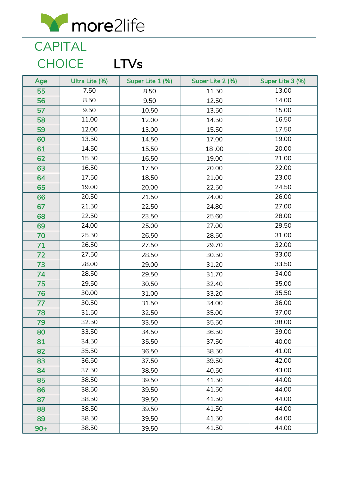

CAPITAL

|       | <b>CHOICE</b>  | <b>LTVs</b>      |                  |                  |
|-------|----------------|------------------|------------------|------------------|
| Age   | Ultra Lite (%) | Super Lite 1 (%) | Super Lite 2 (%) | Super Lite 3 (%) |
| 55    | 7.50           | 8.50             | 11.50            | 13.00            |
| 56    | 8.50           | 9.50             | 12.50            | 14.00            |
| 57    | 9.50           | 10.50            | 13.50            | 15.00            |
| 58    | 11.00          | 12.00            | 14.50            | 16.50            |
| 59    | 12.00          | 13.00            | 15.50            | 17.50            |
| 60    | 13.50          | 14.50            | 17.00            | 19.00            |
| 61    | 14.50          | 15.50            | 18.00            | 20.00            |
| 62    | 15.50          | 16.50            | 19.00            | 21.00            |
| 63    | 16.50          | 17.50            | 20.00            | 22.00            |
| 64    | 17.50          | 18.50            | 21.00            | 23.00            |
| 65    | 19.00          | 20.00            | 22.50            | 24.50            |
| 66    | 20.50          | 21.50            | 24.00            | 26.00            |
| 67    | 21.50          | 22.50            | 24.80            | 27.00            |
| 68    | 22.50          | 23.50            | 25.60            | 28.00            |
| 69    | 24.00          | 25.00            | 27.00            | 29.50            |
| 70    | 25.50          | 26.50            | 28.50            | 31.00            |
| 71    | 26.50          | 27.50            | 29.70            | 32.00            |
| 72    | 27.50          | 28.50            | 30.50            | 33.00            |
| 73    | 28.00          | 29.00            | 31.20            | 33.50            |
| 74    | 28.50          | 29.50            | 31.70            | 34.00            |
| 75    | 29.50          | 30.50            | 32.40            | 35.00            |
| 76    | 30.00          | 31.00            | 33.20            | 35.50            |
| 77    | 30.50          | 31.50            | 34.00            | 36.00            |
| 78    | 31.50          | 32.50            | 35.00            | 37.00            |
| 79    | 32.50          | 33.50            | 35.50            | 38.00            |
| 80    | 33.50          | 34.50            | 36.50            | 39.00            |
| 81    | 34.50          | 35.50            | 37.50            | 40.00            |
| 82    | 35.50          | 36.50            | 38.50            | 41.00            |
| 83    | 36.50          | 37.50            | 39.50            | 42.00            |
| 84    | 37.50          | 38.50            | 40.50            | 43.00            |
| 85    | 38.50          | 39.50            | 41.50            | 44.00            |
| 86    | 38.50          | 39.50            | 41.50            | 44.00            |
| 87    | 38.50          | 39.50            | 41.50            | 44.00            |
| 88    | 38.50          | 39.50            | 41.50            | 44.00            |
| 89    | 38.50          | 39.50            | 41.50            | 44.00            |
| $90+$ | 38.50          | 39.50            | 41.50            | 44.00            |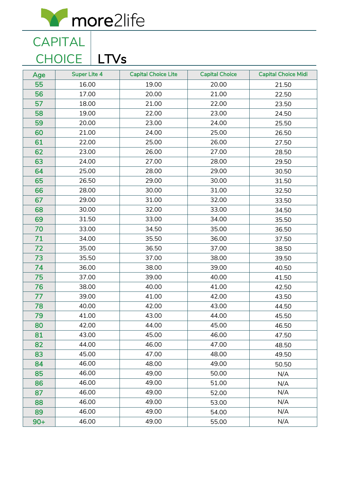

CAPITAL CHOICE | LTVs

| Age   | <b>Super Lite 4</b> | <b>Capital Choice Lite</b> | <b>Capital Choice</b> | <b>Capital Choice Midi</b> |
|-------|---------------------|----------------------------|-----------------------|----------------------------|
| 55    | 16.00               | 19.00                      | 20.00                 | 21.50                      |
| 56    | 17.00               | 20.00                      | 21.00                 | 22.50                      |
| 57    | 18.00               | 21.00                      | 22.00                 | 23.50                      |
| 58    | 19.00               | 22.00                      | 23.00                 | 24.50                      |
| 59    | 20.00               | 23.00                      | 24.00                 | 25.50                      |
| 60    | 21.00               | 24.00                      | 25.00                 | 26.50                      |
| 61    | 22.00               | 25.00                      | 26.00                 | 27.50                      |
| 62    | 23.00               | 26.00                      | 27.00                 | 28.50                      |
| 63    | 24.00               | 27.00                      | 28.00                 | 29.50                      |
| 64    | 25.00               | 28.00                      | 29.00                 | 30.50                      |
| 65    | 26.50               | 29.00                      | 30.00                 | 31.50                      |
| 66    | 28.00               | 30.00                      | 31.00                 | 32.50                      |
| 67    | 29.00               | 31.00                      | 32.00                 | 33.50                      |
| 68    | 30.00               | 32.00                      | 33.00                 | 34.50                      |
| 69    | 31.50               | 33.00                      | 34.00                 | 35.50                      |
| 70    | 33.00               | 34.50                      | 35.00                 | 36.50                      |
| 71    | 34.00               | 35.50                      | 36.00                 | 37.50                      |
| 72    | 35.00               | 36.50                      | 37.00                 | 38.50                      |
| 73    | 35.50               | 37.00                      | 38.00                 | 39.50                      |
| 74    | 36.00               | 38.00                      | 39.00                 | 40.50                      |
| 75    | 37.00               | 39.00                      | 40.00                 | 41.50                      |
| 76    | 38.00               | 40.00                      | 41.00                 | 42.50                      |
| 77    | 39.00               | 41.00                      | 42.00                 | 43.50                      |
| 78    | 40.00               | 42.00                      | 43.00                 | 44.50                      |
| 79    | 41.00               | 43.00                      | 44.00                 | 45.50                      |
| 80    | 42.00               | 44.00                      | 45.00                 | 46.50                      |
| 81    | 43.00               | 45.00                      | 46.00                 | 47.50                      |
| 82    | 44.00               | 46.00                      | 47.00                 | 48.50                      |
| 83    | 45.00               | 47.00                      | 48.00                 | 49.50                      |
| 84    | 46.00               | 48.00                      | 49.00                 | 50.50                      |
| 85    | 46.00               | 49.00                      | 50.00                 | N/A                        |
| 86    | 46.00               | 49.00                      | 51.00                 | N/A                        |
| 87    | 46.00               | 49.00                      | 52.00                 | N/A                        |
| 88    | 46.00               | 49.00                      | 53.00                 | N/A                        |
| 89    | 46.00               | 49.00                      | 54.00                 | N/A                        |
| $90+$ | 46.00               | 49.00                      | 55.00                 | N/A                        |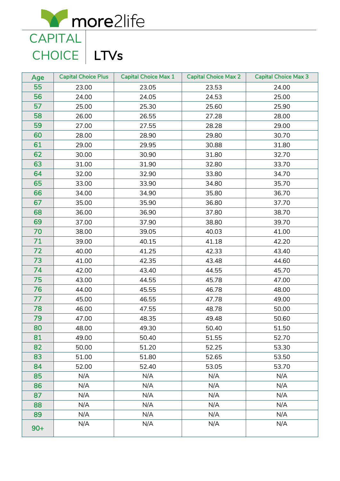more2life **CAPITAL** 

CHOICE | LTVs

| Age   | <b>Capital Choice Plus</b> | <b>Capital Choice Max 1</b> | <b>Capital Choice Max 2</b> | <b>Capital Choice Max 3</b> |
|-------|----------------------------|-----------------------------|-----------------------------|-----------------------------|
| 55    | 23.00                      | 23.05                       | 23.53                       | 24.00                       |
| 56    | 24.00                      | 24.05                       | 24.53                       | 25.00                       |
| 57    | 25.00                      | 25.30                       | 25.60                       | 25.90                       |
| 58    | 26.00                      | 26.55                       | 27.28                       | 28.00                       |
| 59    | 27.00                      | 27.55                       | 28.28                       | 29.00                       |
| 60    | 28.00                      | 28.90                       | 29.80                       | 30.70                       |
| 61    | 29.00                      | 29.95                       | 30.88                       | 31.80                       |
| 62    | 30.00                      | 30.90                       | 31.80                       | 32.70                       |
| 63    | 31.00                      | 31.90                       | 32.80                       | 33.70                       |
| 64    | 32.00                      | 32.90                       | 33.80                       | 34.70                       |
| 65    | 33.00                      | 33.90                       | 34.80                       | 35.70                       |
| 66    | 34.00                      | 34.90                       | 35.80                       | 36.70                       |
| 67    | 35.00                      | 35.90                       | 36.80                       | 37.70                       |
| 68    | 36.00                      | 36.90                       | 37.80                       | 38.70                       |
| 69    | 37.00                      | 37.90                       | 38.80                       | 39.70                       |
| 70    | 38.00                      | 39.05                       | 40.03                       | 41.00                       |
| 71    | 39.00                      | 40.15                       | 41.18                       | 42.20                       |
| 72    | 40.00                      | 41.25                       | 42.33                       | 43.40                       |
| 73    | 41.00                      | 42.35                       | 43.48                       | 44.60                       |
| 74    | 42.00                      | 43.40                       | 44.55                       | 45.70                       |
| 75    | 43.00                      | 44.55                       | 45.78                       | 47.00                       |
| 76    | 44.00                      | 45.55                       | 46.78                       | 48.00                       |
| 77    | 45.00                      | 46.55                       | 47.78                       | 49.00                       |
| 78    | 46.00                      | 47.55                       | 48.78                       | 50.00                       |
| 79    | 47.00                      | 48.35                       | 49.48                       | 50.60                       |
| 80    | 48.00                      | 49.30                       | 50.40                       | 51.50                       |
| 81    | 49.00                      | 50.40                       | 51.55                       | 52.70                       |
| 82    | 50.00                      | 51.20                       | 52.25                       | 53.30                       |
| 83    | 51.00                      | 51.80                       | 52.65                       | 53.50                       |
| 84    | 52.00                      | 52.40                       | 53.05                       | 53.70                       |
| 85    | N/A                        | N/A                         | N/A                         | N/A                         |
| 86    | N/A                        | N/A                         | N/A                         | N/A                         |
| 87    | N/A                        | N/A                         | N/A                         | N/A                         |
| 88    | N/A                        | N/A                         | N/A                         | N/A                         |
| 89    | N/A                        | N/A                         | N/A                         | N/A                         |
| $90+$ | N/A                        | N/A                         | N/A                         | N/A                         |